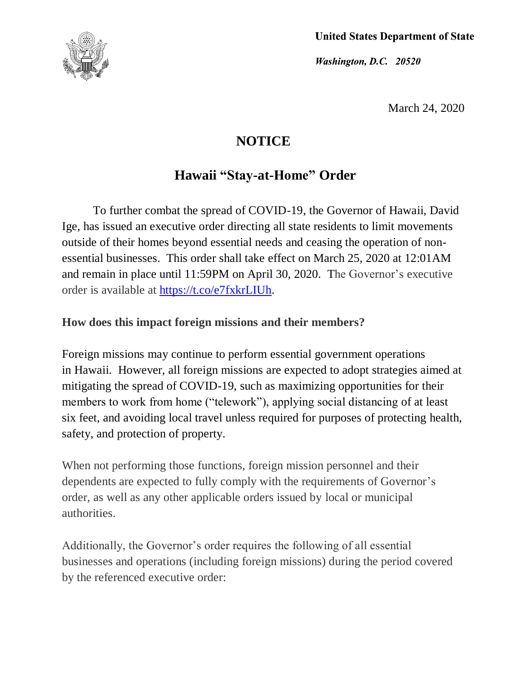

**United States Department of State** 

Washington, D.C. 20520

March 24, 2020

# **NOTICE**

## **Hawaii "Stay-at-Home" Order**

To further combat the spread of COVID-19, the Governor of Hawaii, David Ige, has issued an executive order directing all state residents to limit movements outside of their homes beyond essential needs and ceasing the operation of nonessential businesses. This order shall take effect on March 25, 2020 at 12:01AM and remain in place until 11:59PM on April 30, 2020. The Governor's executive order is available at [https://t.co/e7fxkrLIUh.](https://t.co/e7fxkrLIUh)

### **How does this impact foreign missions and their members?**

Foreign missions may continue to perform essential government operations in Hawaii. However, all foreign missions are expected to adopt strategies aimed at mitigating the spread of COVID-19, such as maximizing opportunities for their members to work from home ("telework"), applying social distancing of at least six feet, and avoiding local travel unless required for purposes of protecting health, safety, and protection of property.

When not performing those functions, foreign mission personnel and their dependents are expected to fully comply with the requirements of Governor's order, as well as any other applicable orders issued by local or municipal authorities.

Additionally, the Governor's order requires the following of all essential businesses and operations (including foreign missions) during the period covered by the referenced executive order: